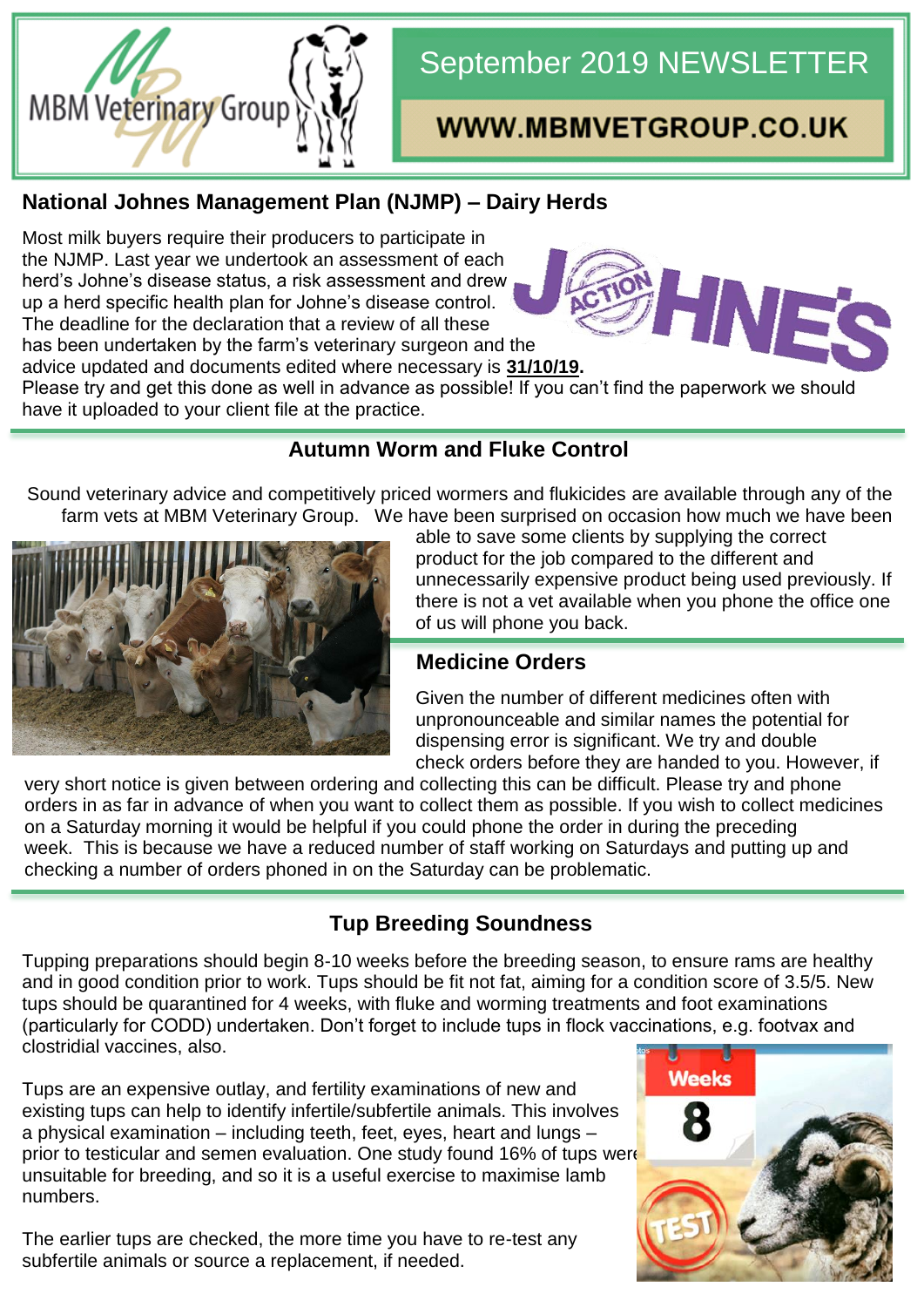

# September 2019 NEWSLETTER

## WWW.MBMVETGROUP.CO.UK

HNE

### **National Johnes Management Plan (NJMP) – Dairy Herds**

Most milk buyers require their producers to participate in the NJMP. Last year we undertook an assessment of each herd's Johne's disease status, a risk assessment and drew up a herd specific health plan for Johne's disease control. The deadline for the declaration that a review of all these has been undertaken by the farm's veterinary surgeon and the

advice updated and documents edited where necessary is **31/10/19.** 

Please try and get this done as well in advance as possible! If you can't find the paperwork we should have it uploaded to your client file at the practice.

#### **Autumn Worm and Fluke Control**

Sound veterinary advice and competitively priced wormers and flukicides are available through any of the farm vets at MBM Veterinary Group. We have been surprised on occasion how much we have been



able to save some clients by supplying the correct product for the job compared to the different and unnecessarily expensive product being used previously. If there is not a vet available when you phone the office one of us will phone you back.

## **Medicine Orders**

Given the number of different medicines often with unpronounceable and similar names the potential for dispensing error is significant. We try and double check orders before they are handed to you. However, if

very short notice is given between ordering and collecting this can be difficult. Please try and phone orders in as far in advance of when you want to collect them as possible. If you wish to collect medicines on a Saturday morning it would be helpful if you could phone the order in during the preceding week. This is because we have a reduced number of staff working on Saturdays and putting up and checking a number of orders phoned in on the Saturday can be problematic.

## **Tup Breeding Soundness**

Tupping preparations should begin 8-10 weeks before the breeding season, to ensure rams are healthy and in good condition prior to work. Tups should be fit not fat, aiming for a condition score of 3.5/5. New tups should be quarantined for 4 weeks, with fluke and worming treatments and foot examinations (particularly for CODD) undertaken. Don't forget to include tups in flock vaccinations, e.g. footvax and clostridial vaccines, also.

Tups are an expensive outlay, and fertility examinations of new and existing tups can help to identify infertile/subfertile animals. This involves a physical examination – including teeth, feet, eyes, heart and lungs – prior to testicular and semen evaluation. One study found 16% of tups were unsuitable for breeding, and so it is a useful exercise to maximise lamb numbers.

The earlier tups are checked, the more time you have to re-test any subfertile animals or source a replacement, if needed.